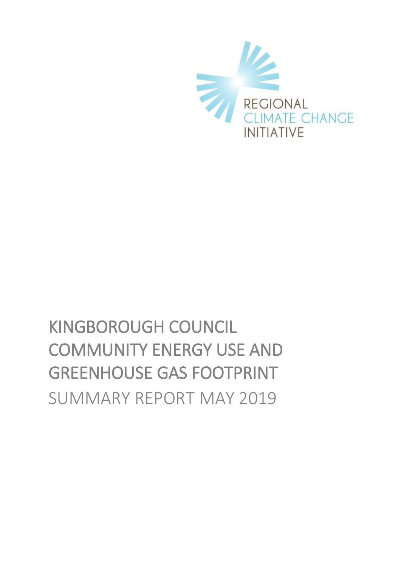

# KINGBOROUGH COUNCIL COMMUNITY ENERGY USE AND GREENHOUSE GAS FOOTPRINT SUMMARY REPORT MAY 2019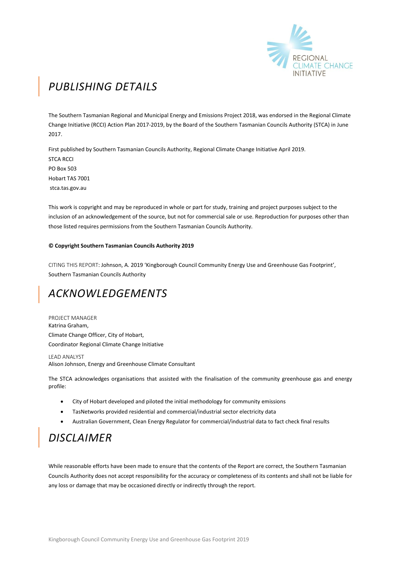

## *PUBLISHING DETAILS*

The Southern Tasmanian Regional and Municipal Energy and Emissions Project 2018, was endorsed in the Regional Climate Change Initiative (RCCI) Action Plan 2017-2019, by the Board of the Southern Tasmanian Councils Authority (STCA) in June 2017.

First published by Southern Tasmanian Councils Authority, Regional Climate Change Initiative April 2019. STCA RCCI PO Box 503 Hobart TAS 7001 stca.tas.gov.au

This work is copyright and may be reproduced in whole or part for study, training and project purposes subject to the inclusion of an acknowledgement of the source, but not for commercial sale or use. Reproduction for purposes other than those listed requires permissions from the Southern Tasmanian Councils Authority.

#### **© Copyright Southern Tasmanian Councils Authority 2019**

CITING THIS REPORT: Johnson, A. 2019 'Kingborough Council Community Energy Use and Greenhouse Gas Footprint', Southern Tasmanian Councils Authority

### *ACKNOWLEDGEMENTS*

PROJECT MANAGER Katrina Graham, Climate Change Officer, City of Hobart, Coordinator Regional Climate Change Initiative

LEAD ANALYST Alison Johnson, Energy and Greenhouse Climate Consultant

The STCA acknowledges organisations that assisted with the finalisation of the community greenhouse gas and energy profile:

- City of Hobart developed and piloted the initial methodology for community emissions
- TasNetworks provided residential and commercial/industrial sector electricity data
- Australian Government, Clean Energy Regulator for commercial/industrial data to fact check final results

### *DISCLAIMER*

While reasonable efforts have been made to ensure that the contents of the Report are correct, the Southern Tasmanian Councils Authority does not accept responsibility for the accuracy or completeness of its contents and shall not be liable for any loss or damage that may be occasioned directly or indirectly through the report.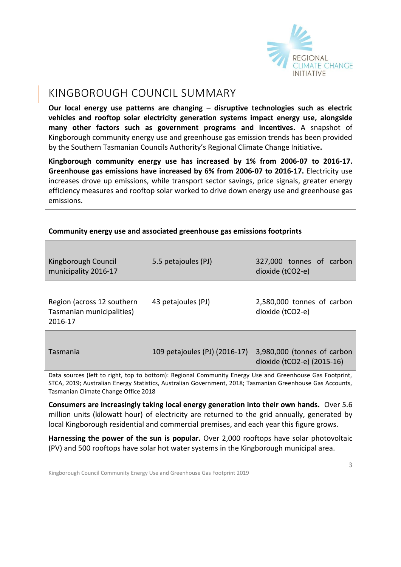

#### KINGBOROUGH COUNCIL SUMMARY

**Our local energy use patterns are changing – disruptive technologies such as electric vehicles and rooftop solar electricity generation systems impact energy use, alongside many other factors such as government programs and incentives.** A snapshot of Kingborough community energy use and greenhouse gas emission trends has been provided by the Southern Tasmanian Councils Authority's Regional Climate Change Initiative**.** 

**Kingborough community energy use has increased by 1% from 2006-07 to 2016-17. Greenhouse gas emissions have increased by 6% from 2006-07 to 2016-17.** Electricity use increases drove up emissions, while transport sector savings, price signals, greater energy efficiency measures and rooftop solar worked to drive down energy use and greenhouse gas emissions.

| Kingborough Council<br>municipality 2016-17                                                                                                                                                                           | 5.5 petajoules (PJ)           | 327,000 tonnes of carbon<br>dioxide (tCO2-e)              |  |  |
|-----------------------------------------------------------------------------------------------------------------------------------------------------------------------------------------------------------------------|-------------------------------|-----------------------------------------------------------|--|--|
| Region (across 12 southern<br>Tasmanian municipalities)<br>2016-17                                                                                                                                                    | 43 petajoules (PJ)            | 2,580,000 tonnes of carbon<br>dioxide (tCO2-e)            |  |  |
| Tasmania                                                                                                                                                                                                              | 109 petajoules (PJ) (2016-17) | 3,980,000 (tonnes of carbon<br>dioxide (tCO2-e) (2015-16) |  |  |
| Data sources (left to right, top to bottom): Regional Community Energy Use and Greenhouse Gas Footprint,<br>STCA, 2019; Australian Energy Statistics, Australian Government, 2018; Tasmanian Greenhouse Gas Accounts, |                               |                                                           |  |  |

#### **Community energy use and associated greenhouse gas emissions footprints**

STCA, 2019; Australian Energy Statistics, Australian Government, 2018; Tasmanian Greenhouse Gas Accounts, Tasmanian Climate Change Office 2018

**Consumers are increasingly taking local energy generation into their own hands.** Over 5.6 million units (kilowatt hour) of electricity are returned to the grid annually, generated by local Kingborough residential and commercial premises, and each year this figure grows.

**Harnessing the power of the sun is popular.** Over 2,000 rooftops have solar photovoltaic (PV) and 500 rooftops have solar hot water systems in the Kingborough municipal area.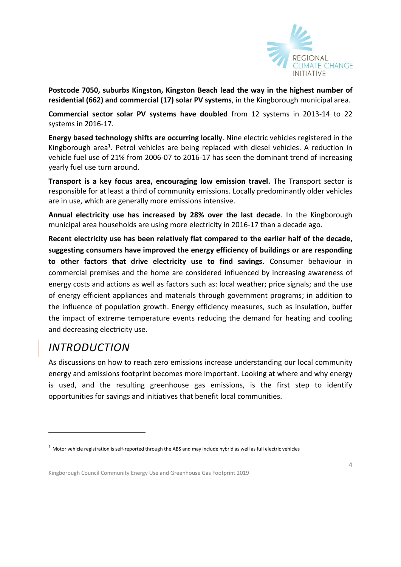

**Postcode 7050, suburbs Kingston, Kingston Beach lead the way in the highest number of residential (662) and commercial (17) solar PV systems**, in the Kingborough municipal area.

**Commercial sector solar PV systems have doubled** from 12 systems in 2013-14 to 22 systems in 2016-17.

**Energy based technology shifts are occurring locally**. Nine electric vehicles registered in the Kingborough area<sup>1</sup>. Petrol vehicles are being replaced with diesel vehicles. A reduction in vehicle fuel use of 21% from 2006-07 to 2016-17 has seen the dominant trend of increasing yearly fuel use turn around.

**Transport is a key focus area, encouraging low emission travel.** The Transport sector is responsible for at least a third of community emissions. Locally predominantly older vehicles are in use, which are generally more emissions intensive.

**Annual electricity use has increased by 28% over the last decade**. In the Kingborough municipal area households are using more electricity in 2016-17 than a decade ago.

**Recent electricity use has been relatively flat compared to the earlier half of the decade, suggesting consumers have improved the energy efficiency of buildings or are responding to other factors that drive electricity use to find savings.** Consumer behaviour in commercial premises and the home are considered influenced by increasing awareness of energy costs and actions as well as factors such as: local weather; price signals; and the use of energy efficient appliances and materials through government programs; in addition to the influence of population growth. Energy efficiency measures, such as insulation, buffer the impact of extreme temperature events reducing the demand for heating and cooling and decreasing electricity use.

### *INTRODUCTION*

-

As discussions on how to reach zero emissions increase understanding our local community energy and emissions footprint becomes more important. Looking at where and why energy is used, and the resulting greenhouse gas emissions, is the first step to identify opportunities for savings and initiatives that benefit local communities.

 $1$  Motor vehicle registration is self-reported through the ABS and may include hybrid as well as full electric vehicles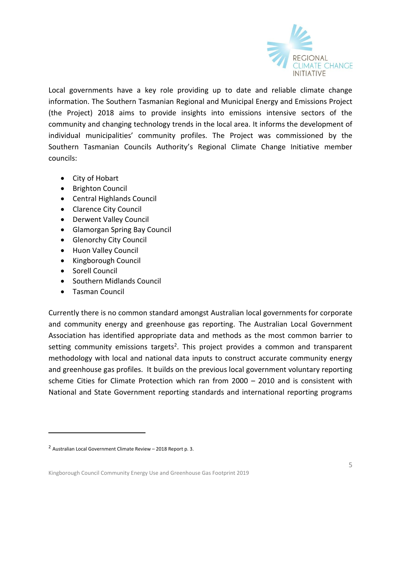

Local governments have a key role providing up to date and reliable climate change information. The Southern Tasmanian Regional and Municipal Energy and Emissions Project (the Project) 2018 aims to provide insights into emissions intensive sectors of the community and changing technology trends in the local area. It informs the development of individual municipalities' community profiles. The Project was commissioned by the Southern Tasmanian Councils Authority's Regional Climate Change Initiative member councils:

- City of [Hobart](http://www.hobartcity.com.au/)
- [Brighton Council](http://www.brighton.tas.gov.au/)
- [Central Highlands Council](http://www.centralhighlands.tas.gov.au/site/page.cfm)
- [Clarence City Council](http://www.ccc.tas.gov.au/)
- [Derwent Valley Council](http://www.derwentvalley.tas.gov.au/)
- [Glamorgan Spring Bay Council](http://www.gsbc.tas.gov.au/site/page.cfm)
- **•** [Glenorchy City Council](http://www.gcc.tas.gov.au/)
- [Huon Valley Council](http://www.huonvalley.tas.gov.au/)
- [Kingborough Council](http://www.kingborough.tas.gov.au/)
- [Sorell Council](http://www.sorell.tas.gov.au/)
- [Southern Midlands Council](http://www.southernmidlands.tas.gov.au/site/page.cfm)
- [Tasman Council](http://www.tasman.tas.gov.au/site/page.cfm)

-

Currently there is no common standard amongst Australian local governments for corporate and community energy and greenhouse gas reporting. The Australian Local Government Association has identified appropriate data and methods as the most common barrier to setting community emissions targets<sup>2</sup>. This project provides a common and transparent methodology with local and national data inputs to construct accurate community energy and greenhouse gas profiles. It builds on the previous local government voluntary reporting scheme Cities for Climate Protection which ran from 2000 – 2010 and is consistent with National and State Government reporting standards and international reporting programs

<sup>2</sup> Australian Local Government Climate Review – 2018 Report p. 3.

Kingborough Council Community Energy Use and Greenhouse Gas Footprint 2019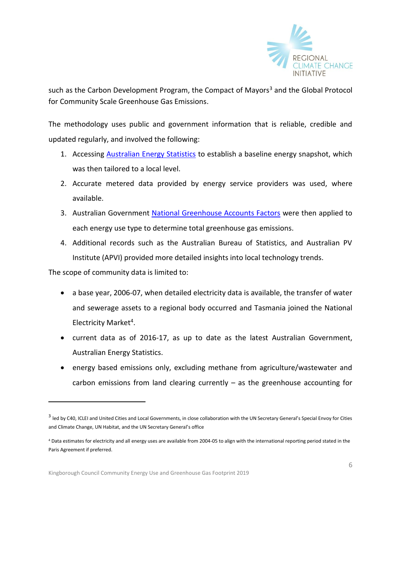

such as the Carbon Development Program, the Compact of Mayors<sup>3</sup> and the Global Protocol for Community Scale Greenhouse Gas Emissions.

The methodology uses public and government information that is reliable, credible and updated regularly, and involved the following:

- 1. Accessing **[Australian Energy Statistics](https://industry.gov.au/Office-of-the-Chief-Economist/Publications/Pages/Australian-energy-statistics.aspx)** to establish a baseline energy snapshot, which was then tailored to a local level.
- 2. Accurate metered data provided by energy service providers was used, where available.
- 3. Australian Government [National Greenhouse Accounts Factors](http://www.environment.gov.au/climate-change/climate-science-data/greenhouse-gas-measurement/publications/national-greenhouse-accounts-factors-july-2017) were then applied to each energy use type to determine total greenhouse gas emissions.
- 4. Additional records such as the Australian Bureau of Statistics, and Australian PV Institute (APVI) provided more detailed insights into local technology trends.

The scope of community data is limited to:

-

- a base year, 2006-07, when detailed electricity data is available, the transfer of water and sewerage assets to a regional body occurred and Tasmania joined the National Electricity Market<sup>4</sup>.
- current data as of 2016-17, as up to date as the latest Australian Government, Australian Energy Statistics.
- energy based emissions only, excluding methane from agriculture/wastewater and carbon emissions from land clearing currently – as the greenhouse accounting for

<sup>&</sup>lt;sup>3</sup> led by C40, ICLEI and United Cities and Local Governments, in close collaboration with the UN Secretary General's Special Envoy for Cities and Climate Change, UN Habitat, and the UN Secretary General's office

<sup>4</sup> Data estimates for electricity and all energy uses are available from 2004-05 to align with the international reporting period stated in the Paris Agreement if preferred.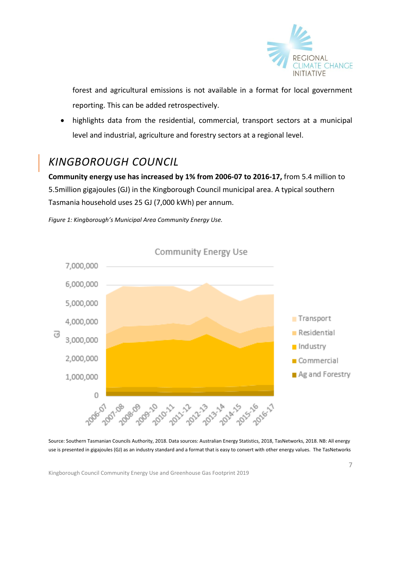

forest and agricultural emissions is not available in a format for local government reporting. This can be added retrospectively.

 highlights data from the residential, commercial, transport sectors at a municipal level and industrial, agriculture and forestry sectors at a regional level.

### *KINGBOROUGH COUNCIL*

**Community energy use has increased by 1% from 2006-07 to 2016-17,** from 5.4 million to 5.5million gigajoules (GJ) in the Kingborough Council municipal area. A typical southern Tasmania household uses 25 GJ (7,000 kWh) per annum.



*Figure 1: Kingborough's Municipal Area Community Energy Use.* 

Source: Southern Tasmanian Councils Authority, 2018. Data sources: Australian Energy Statistics, 2018, TasNetworks, 2018. NB: All energy use is presented in gigajoules (GJ) as an industry standard and a format that is easy to convert with other energy values. The TasNetworks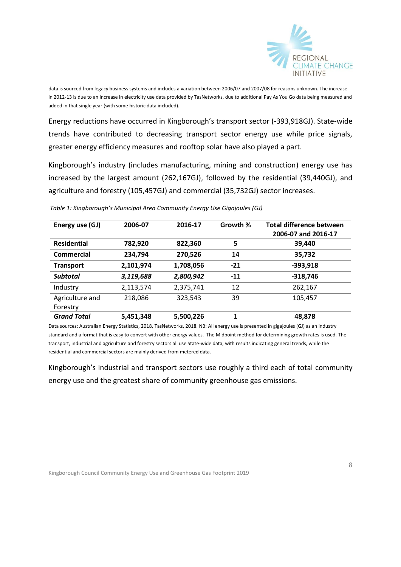

data is sourced from legacy business systems and includes a variation between 2006/07 and 2007/08 for reasons unknown. The increase in 2012-13 is due to an increase in electricity use data provided by TasNetworks, due to additional Pay As You Go data being measured and added in that single year (with some historic data included).

Energy reductions have occurred in Kingborough's transport sector (-393,918GJ). State-wide trends have contributed to decreasing transport sector energy use while price signals, greater energy efficiency measures and rooftop solar have also played a part.

Kingborough's industry (includes manufacturing, mining and construction) energy use has increased by the largest amount (262,167GJ), followed by the residential (39,440GJ), and agriculture and forestry (105,457GJ) and commercial (35,732GJ) sector increases.

| Energy use (GJ)    | 2006-07   | 2016-17   | Growth % | Total difference between<br>2006-07 and 2016-17 |
|--------------------|-----------|-----------|----------|-------------------------------------------------|
| <b>Residential</b> | 782,920   | 822,360   | 5        | 39,440                                          |
| Commercial         | 234,794   | 270,526   | 14       | 35,732                                          |
| <b>Transport</b>   | 2,101,974 | 1,708,056 | $-21$    | $-393,918$                                      |
| <b>Subtotal</b>    | 3,119,688 | 2,800,942 | $-11$    | $-318,746$                                      |
| Industry           | 2,113,574 | 2,375,741 | 12       | 262,167                                         |
| Agriculture and    | 218,086   | 323,543   | 39       | 105,457                                         |
| Forestry           |           |           |          |                                                 |
| <b>Grand Total</b> | 5,451,348 | 5,500,226 | 1        | 48,878                                          |

*Table 1: Kingborough's Municipal Area Community Energy Use Gigajoules (GJ)*

Data sources: Australian Energy Statistics, 2018, TasNetworks, 2018. NB: All energy use is presented in gigajoules (GJ) as an industry standard and a format that is easy to convert with other energy values. The Midpoint method for determining growth rates is used. The transport, industrial and agriculture and forestry sectors all use State-wide data, with results indicating general trends, while the residential and commercial sectors are mainly derived from metered data.

Kingborough's industrial and transport sectors use roughly a third each of total community energy use and the greatest share of community greenhouse gas emissions.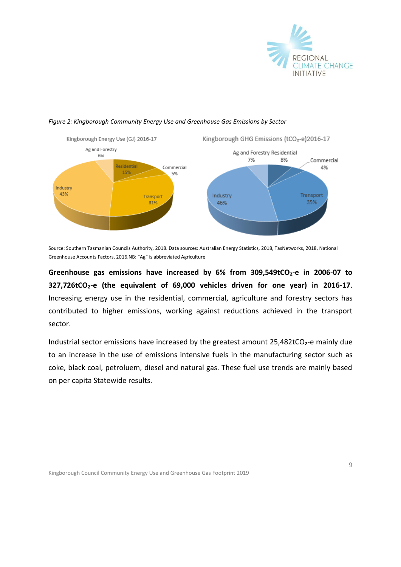



#### *Figure 2: Kingborough Community Energy Use and Greenhouse Gas Emissions by Sector*

Source: Southern Tasmanian Councils Authority, 2018. Data sources: Australian Energy Statistics, 2018, TasNetworks, 2018, National Greenhouse Accounts Factors, 2016.NB: "Ag" is abbreviated Agriculture

**Greenhouse gas emissions have increased by 6% from 309,549tCO₂-e in 2006-07 to 327,726tCO₂-e (the equivalent of 69,000 vehicles driven for one year) in 2016-17**. Increasing energy use in the residential, commercial, agriculture and forestry sectors has contributed to higher emissions, working against reductions achieved in the transport sector.

Industrial sector emissions have increased by the greatest amount  $25,482$ tCO<sub>2</sub>-e mainly due to an increase in the use of emissions intensive fuels in the manufacturing sector such as coke, black coal, petroluem, diesel and natural gas. These fuel use trends are mainly based on per capita Statewide results.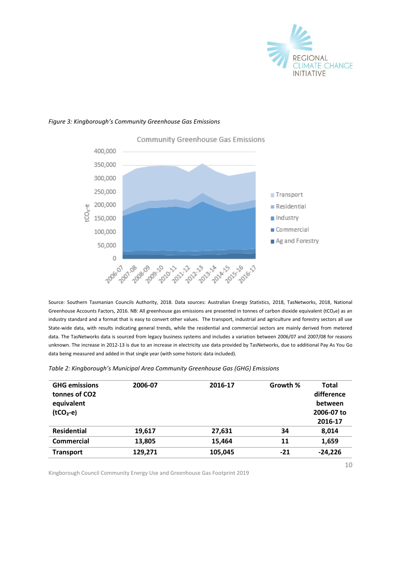

10

#### *Figure 3: Kingborough's Community Greenhouse Gas Emissions*



Community Greenhouse Gas Emissions

Source: Southern Tasmanian Councils Authority, 2018. Data sources: Australian Energy Statistics, 2018, TasNetworks, 2018, National Greenhouse Accounts Factors, 2016. NB: All greenhouse gas emissions are presented in tonnes of carbon dioxide equivalent (tCO₂e) as an industry standard and a format that is easy to convert other values.The transport, industrial and agriculture and forestry sectors all use State-wide data, with results indicating general trends, while the residential and commercial sectors are mainly derived from metered data. The TasNetworks data is sourced from legacy business systems and includes a variation between 2006/07 and 2007/08 for reasons unknown. The increase in 2012-13 is due to an increase in electricity use data provided by TasNetworks, due to additional Pay As You Go data being measured and added in that single year (with some historic data included).

|  |  | Table 2: Kingborough's Municipal Area Community Greenhouse Gas (GHG) Emissions |  |
|--|--|--------------------------------------------------------------------------------|--|
|--|--|--------------------------------------------------------------------------------|--|

| 2006-07 | 2016-17 | Growth % | Total<br>difference |
|---------|---------|----------|---------------------|
|         |         |          | between             |
|         |         |          | 2006-07 to          |
|         |         |          | 2016-17             |
| 19,617  | 27,631  | 34       | 8,014               |
| 13,805  | 15,464  | 11       | 1,659               |
| 129,271 | 105,045 | $-21$    | $-24,226$           |
|         |         |          |                     |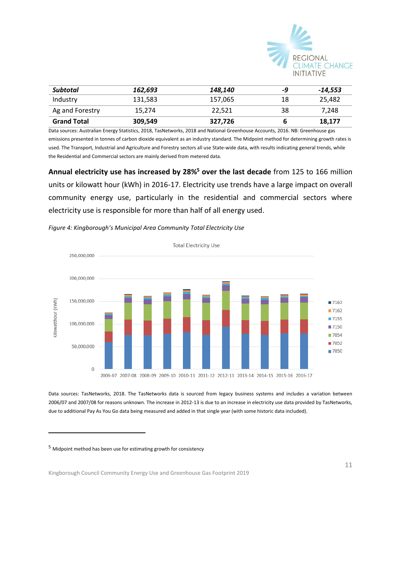

| Subtotal           | 162.693 | 148.140 | -9 | -14,553 |
|--------------------|---------|---------|----|---------|
| Industry           | 131,583 | 157.065 | 18 | 25,482  |
| Ag and Forestry    | 15.274  | 22.521  | 38 | 7.248   |
| <b>Grand Total</b> | 309,549 | 327,726 |    | 18,177  |

Data sources: Australian Energy Statistics, 2018, TasNetworks, 2018 and National Greenhouse Accounts, 2016. NB: Greenhouse gas emissions presented in tonnes of carbon dioxide equivalent as an industry standard. The Midpoint method for determining growth rates is used. The Transport, Industrial and Agriculture and Forestry sectors all use State-wide data, with results indicating general trends, while the Residential and Commercial sectors are mainly derived from metered data.

**Annual electricity use has increased by 28%<sup>5</sup> over the last decade** from 125 to 166 million units or kilowatt hour (kWh) in 2016-17. Electricity use trends have a large impact on overall community energy use, particularly in the residential and commercial sectors where electricity use is responsible for more than half of all energy used.





Data sources: TasNetworks, 2018. The TasNetworks data is sourced from legacy business systems and includes a variation between 2006/07 and 2007/08 for reasons unknown. The increase in 2012-13 is due to an increase in electricity use data provided by TasNetworks, due to additional Pay As You Go data being measured and added in that single year (with some historic data included).

<sup>5</sup> Midpoint method has been use for estimating growth for consistency

-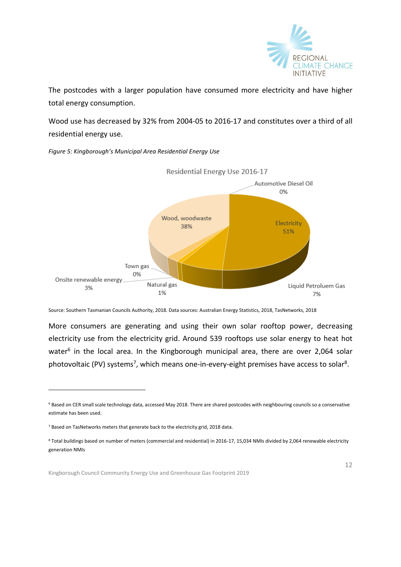

The postcodes with a larger population have consumed more electricity and have higher total energy consumption.

Wood use has decreased by 32% from 2004-05 to 2016-17 and constitutes over a third of all residential energy use.



*Figure 5: Kingborough's Municipal Area Residential Energy Use*

Source: Southern Tasmanian Councils Authority, 2018. Data sources: Australian Energy Statistics, 2018, TasNetworks, 2018

More consumers are generating and using their own solar rooftop power, decreasing electricity use from the electricity grid. Around 539 rooftops use solar energy to heat hot water<sup>6</sup> in the local area. In the Kingborough municipal area, there are over 2,064 solar photovoltaic (PV) systems<sup>7</sup>, which means one-in-every-eight premises have access to solar<sup>8</sup>.

-

<sup>6</sup> Based on CER small scale technology data, accessed May 2018. There are shared postcodes with neighbouring councils so a conservative estimate has been used.

<sup>7</sup> Based on TasNetworks meters that generate back to the electricity grid, 2018 data.

<sup>8</sup> Total buildings based on number of meters (commercial and residential) in 2016-17, 15,034 NMIs divided by 2,064 renewable electricity generation NMIs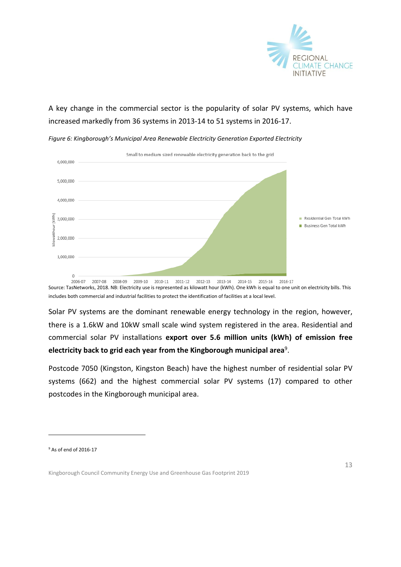

#### A key change in the commercial sector is the popularity of solar PV systems, which have increased markedly from 36 systems in 2013-14 to 51 systems in 2016-17.



*Figure 6: Kingborough's Municipal Area Renewable Electricity Generation Exported Electricity* 

Source: TasNetworks, 2018. NB: Electricity use is represented as kilowatt hour (kWh). One kWh is equal to one unit on electricity bills. This includes both commercial and industrial facilities to protect the identification of facilities at a local level.

Solar PV systems are the dominant renewable energy technology in the region, however, there is a 1.6kW and 10kW small scale wind system registered in the area. Residential and commercial solar PV installations **export over 5.6 million units (kWh) of emission free electricity back to grid each year from the Kingborough municipal area**<sup>9</sup> .

Postcode 7050 (Kingston, Kingston Beach) have the highest number of residential solar PV systems (662) and the highest commercial solar PV systems (17) compared to other postcodes in the Kingborough municipal area.

-

<sup>9</sup> As of end of 2016-17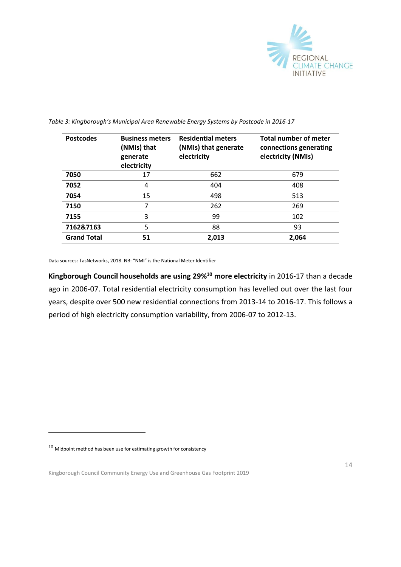

| <b>Postcodes</b>   | <b>Business meters</b><br>(NMIs) that<br>generate<br>electricity | <b>Residential meters</b><br>(NMIs) that generate<br>electricity | <b>Total number of meter</b><br>connections generating<br>electricity (NMIs) |
|--------------------|------------------------------------------------------------------|------------------------------------------------------------------|------------------------------------------------------------------------------|
| 7050               | 17                                                               | 662                                                              | 679                                                                          |
| 7052               | 4                                                                | 404                                                              | 408                                                                          |
| 7054               | 15                                                               | 498                                                              | 513                                                                          |
| 7150               | 7                                                                | 262                                                              | 269                                                                          |
| 7155               | 3                                                                | 99                                                               | 102                                                                          |
| 7162&7163          | 5                                                                | 88                                                               | 93                                                                           |
| <b>Grand Total</b> | 51                                                               | 2,013                                                            | 2,064                                                                        |

*Table 3: Kingborough's Municipal Area Renewable Energy Systems by Postcode in 2016-17*

Data sources: TasNetworks, 2018. NB: "NMI" is the National Meter Identifier

**Kingborough Council households are using 29%<sup>10</sup> more electricity** in 2016-17 than a decade ago in 2006-07. Total residential electricity consumption has levelled out over the last four years, despite over 500 new residential connections from 2013-14 to 2016-17. This follows a period of high electricity consumption variability, from 2006-07 to 2012-13.

-

 $^{10}$  Midpoint method has been use for estimating growth for consistency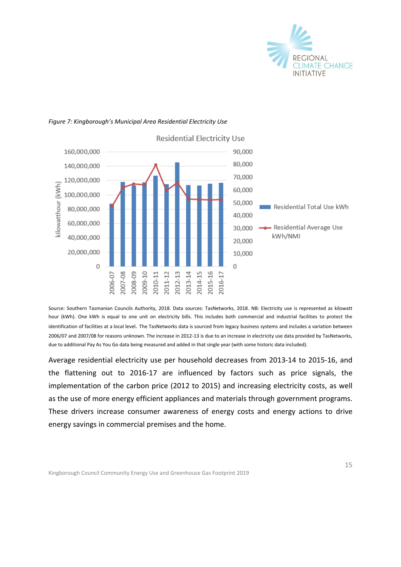



#### *Figure 7: Kingborough's Municipal Area Residential Electricity Use*

Source: Southern Tasmanian Councils Authority, 2018. Data sources: TasNetworks, 2018. NB: Electricity use is represented as kilowatt hour (kWh). One kWh is equal to one unit on electricity bills. This includes both commercial and industrial facilities to protect the identification of facilities at a local level*.* The TasNetworks data is sourced from legacy business systems and includes a variation between 2006/07 and 2007/08 for reasons unknown. The increase in 2012-13 is due to an increase in electricity use data provided by TasNetworks, due to additional Pay As You Go data being measured and added in that single year (with some historic data included).

Average residential electricity use per household decreases from 2013-14 to 2015-16, and the flattening out to 2016-17 are influenced by factors such as price signals, the implementation of the carbon price (2012 to 2015) and increasing electricity costs, as well as the use of more energy efficient appliances and materials through government programs. These drivers increase consumer awareness of energy costs and energy actions to drive energy savings in commercial premises and the home.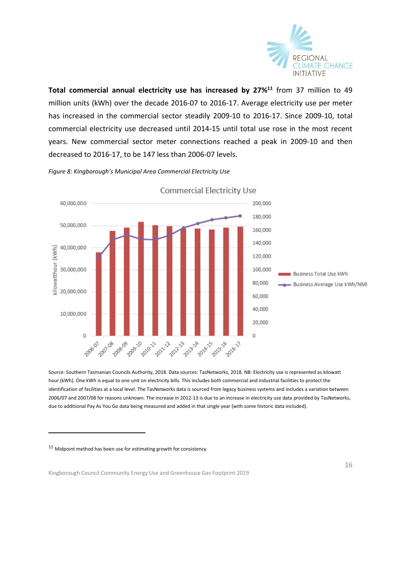

**Total commercial annual electricity use has increased by 27%<sup>11</sup>** from 37 million to 49 million units (kWh) over the decade 2016-07 to 2016-17. Average electricity use per meter has increased in the commercial sector steadily 2009-10 to 2016-17. Since 2009-10, total commercial electricity use decreased until 2014-15 until total use rose in the most recent years. New commercial sector meter connections reached a peak in 2009-10 and then decreased to 2016-17, to be 147 less than 2006-07 levels.



*Figure 8: Kingborough's Municipal Area Commercial Electricity Use*

Source: Southern Tasmanian Councils Authority, 2018. Data sources: TasNetworks, 2018. NB: Electricity use is represented as kilowatt hour (kWh). One kWh is equal to one unit on electricity bills. This includes both commercial and industrial facilities to protect the identification of facilities at a local level. The TasNetworks data is sourced from legacy business systems and includes a variation between 2006/07 and 2007/08 for reasons unknown. The increase in 2012-13 is due to an increase in electricity use data provided by TasNetworks, due to additional Pay As You Go data being measured and added in that single year (with some historic data included).

-

 $^{11}$  Midpoint method has been use for estimating growth for consistency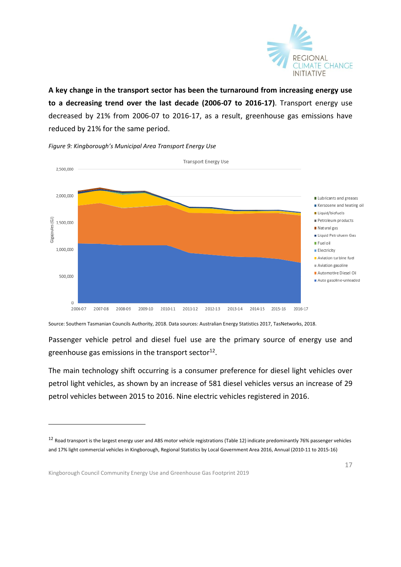

**A key change in the transport sector has been the turnaround from increasing energy use to a decreasing trend over the last decade (2006-07 to 2016-17)**. Transport energy use decreased by 21% from 2006-07 to 2016-17, as a result, greenhouse gas emissions have reduced by 21% for the same period.



*Figure 9: Kingborough's Municipal Area Transport Energy Use*

Source: Southern Tasmanian Councils Authority, 2018. Data sources: Australian Energy Statistics 2017, TasNetworks, 2018.

Passenger vehicle petrol and diesel fuel use are the primary source of energy use and greenhouse gas emissions in the transport sector $^{12}$ .

The main technology shift occurring is a consumer preference for diesel light vehicles over petrol light vehicles, as shown by an increase of 581 diesel vehicles versus an increase of 29 petrol vehicles between 2015 to 2016. Nine electric vehicles registered in 2016.

-

<sup>&</sup>lt;sup>12</sup> Road transport is the largest energy user and ABS motor vehicle registrations (Table 12) indicate predominantly 76% passenger vehicles and 17% light commercial vehicles in Kingborough, Regional Statistics by Local Government Area 2016, Annual (2010-11 to 2015-16)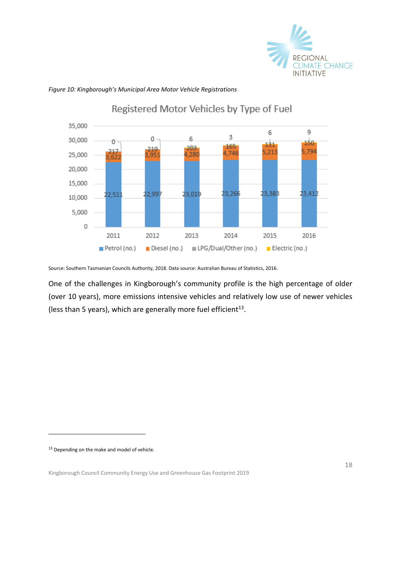



*Figure 10: Kingborough's Municipal Area Motor Vehicle Registrations*

Source: Southern Tasmanian Councils Authority, 2018. Data source: Australian Bureau of Statistics, 2016.

One of the challenges in Kingborough's community profile is the high percentage of older (over 10 years), more emissions intensive vehicles and relatively low use of newer vehicles (less than 5 years), which are generally more fuel efficient<sup>13</sup>.

<sup>13</sup> Depending on the make and model of vehicle.

-